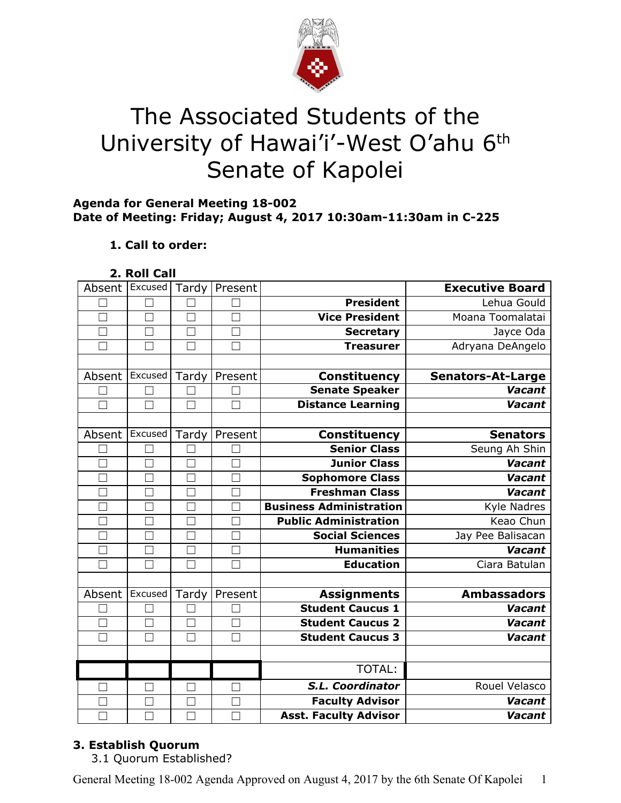

# The Associated Students of the University of Hawai'i'-West O'ahu 6<sup>th</sup> Senate of Kapolei

#### **Agenda for General Meeting 18-002 Date of Meeting: Friday; August 4, 2017 10:30am-11:30am in C-225**

#### **1. Call to order:**

**2. Roll Call**

| Absent       | Excused       | Tardy             | Present |                                | <b>Executive Board</b>   |
|--------------|---------------|-------------------|---------|--------------------------------|--------------------------|
|              |               |                   |         | <b>President</b>               | Lehua Gould              |
| $\Box$       | $\Box$        | $\Box$            | П       | <b>Vice President</b>          | Moana Toomalatai         |
|              | $\mathcal{L}$ |                   |         | <b>Secretary</b>               | Jayce Oda                |
|              | $\Box$        | П                 |         | <b>Treasurer</b>               | Adryana DeAngelo         |
|              |               |                   |         |                                |                          |
| Absent       | Excused       | Tardy             | Present | Constituency                   | <b>Senators-At-Large</b> |
|              | П             |                   |         | <b>Senate Speaker</b>          | Vacant                   |
|              | П             | П                 |         | <b>Distance Learning</b>       | <b>Vacant</b>            |
|              |               |                   |         |                                |                          |
| Absent       | Excused       | Tardy             | Present | <b>Constituency</b>            | <b>Senators</b>          |
|              | П             |                   | $\Box$  | <b>Senior Class</b>            | Seung Ah Shin            |
|              | M             | $\vert \ \ \vert$ |         | <b>Junior Class</b>            | <b>Vacant</b>            |
|              | П             | $\Box$            |         | Sophomore Class                | Vacant                   |
|              |               |                   |         | <b>Freshman Class</b>          | Vacant                   |
|              | $\mathbf{L}$  | $\mathbf{L}$      |         | <b>Business Administration</b> | Kyle Nadres              |
|              | $\Box$        | $\Box$            |         | <b>Public Administration</b>   | Keao Chun                |
|              |               |                   |         | <b>Social Sciences</b>         | Jay Pee Balisacan        |
| $\Box$       | $\Box$        | $\Box$            | $\Box$  | <b>Humanities</b>              | Vacant                   |
| $\mathbf{I}$ | ×             | M                 |         | <b>Education</b>               | Ciara Batulan            |
|              |               |                   |         |                                |                          |
| Absent       | Excused       | Tardy             | Present | <b>Assignments</b>             | <b>Ambassadors</b>       |
|              |               |                   |         | <b>Student Caucus 1</b>        | Vacant                   |
|              | $\Box$        | $\Box$            |         | <b>Student Caucus 2</b>        | <b>Vacant</b>            |
|              | $\Box$        | $\Box$            |         | <b>Student Caucus 3</b>        | <b>Vacant</b>            |
|              |               |                   |         |                                |                          |
|              |               |                   |         | TOTAL:                         |                          |
|              | ٦             | $\Box$            | П       | S.L. Coordinator               | Rouel Velasco            |
|              | - 1           |                   |         | <b>Faculty Advisor</b>         | <b>Vacant</b>            |
|              |               |                   |         | <b>Asst. Faculty Advisor</b>   | Vacant                   |

#### **3. Establish Quorum**

3.1 Quorum Established?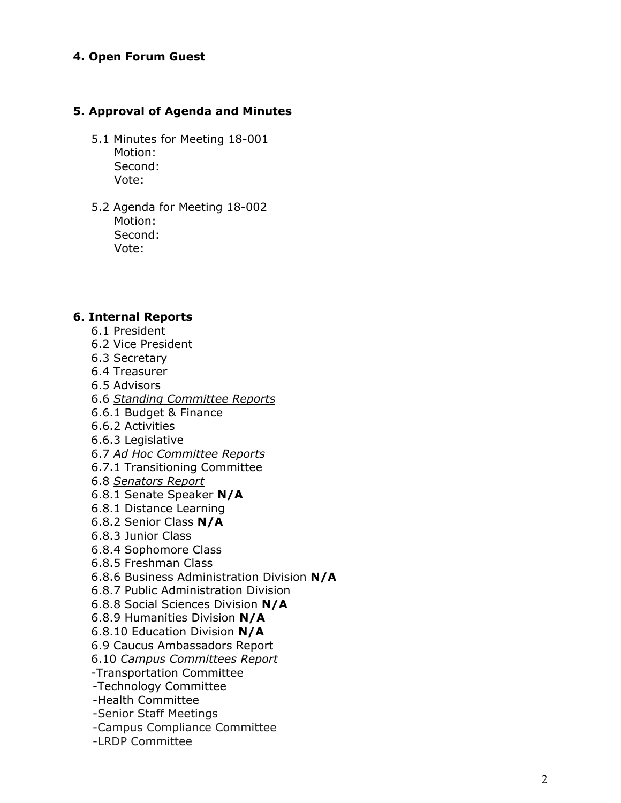# **4 . O p e n F o r u m G u e s t**

# 5. Approval of Agenda and Minutes

- 5.1 Minutes for Meeting 18-001 Motion: Second: Vote:
- 5.2 Agenda for Meeting 18-002 Motion: Second: Vote:

#### **6. Internal Re p o r t s**

- 6.1 President
- 6.2 Vice President
- 6.3 Secretary
- 6.4 Treasurer
- 6.5 A d vis o r s
- 6.6 Standing Committee Reports
- 6.6.1 Budget & Finance
- 6.6.2 Activities
- 6.6.3 L e gisla tiv e
- 6.7 Ad Hoc Committee Reports
- 6.7.1 Transitioning Committee
- 6.8 *Senators Report*
- 6.8.1 Senate Speaker N/A
- 6.8.1 Distance Learning
- 6.8.2 Senior Class N/A
- 6.8.3 Junior Class
- 6.8.4 Sophomore Class
- 6.8.5 Freshman Class
- 6.8.6 Business Administration Division N/A
- 6.8.7 Public Administration Division
- 6.8.8 S o cial S cie n c e s Divisio n **N / A**
- 6.8.9 Humanities Division N/A
- 6.8.10 Education Division N/A
- 6.9 Caucus Ambassadors Report
- 6.10 Campus Committees Report
- -Transportation Committee
- -Technology Committee
- -Health Committee
- -Senior Staff Meetings
- -Campus Compliance Committee
- -LRDP Committee